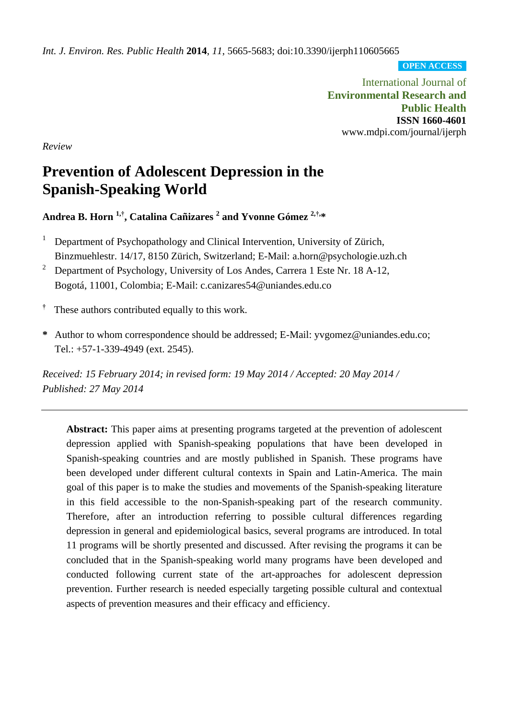*Int. J. Environ. Res. Public Health* **2014**, *11*, 5665-5683; doi:10.3390/ijerph110605665

**OPEN ACCESS**

International Journal of **Environmental Research and Public Health ISSN 1660-4601** www.mdpi.com/journal/ijerph

*Review*

# **Prevention of Adolescent Depression in the Spanish-Speaking World**

**Andrea B. Horn 1,† , Catalina Cañizares <sup>2</sup> and Yvonne Gómez 2,†, \***

- <sup>1</sup> Department of Psychopathology and Clinical Intervention, University of Zürich, Binzmuehlestr. 14/17, 8150 Zürich, Switzerland; E-Mail: a.horn@psychologie.uzh.ch
- <sup>2</sup> Department of Psychology, University of Los Andes, Carrera 1 Este Nr. 18 A-12, Bogotá, 11001, Colombia; E-Mail: c.canizares54@uniandes.edu.co

**†** These authors contributed equally to this work.

**\*** Author to whom correspondence should be addressed; E-Mail: yvgomez@uniandes.edu.co; Tel.: +57-1-339-4949 (ext. 2545).

*Received: 15 February 2014; in revised form: 19 May 2014 / Accepted: 20 May 2014 / Published: 27 May 2014*

**Abstract:** This paper aims at presenting programs targeted at the prevention of adolescent depression applied with Spanish-speaking populations that have been developed in Spanish-speaking countries and are mostly published in Spanish. These programs have been developed under different cultural contexts in Spain and Latin-America. The main goal of this paper is to make the studies and movements of the Spanish-speaking literature in this field accessible to the non-Spanish-speaking part of the research community. Therefore, after an introduction referring to possible cultural differences regarding depression in general and epidemiological basics, several programs are introduced. In total 11 programs will be shortly presented and discussed. After revising the programs it can be concluded that in the Spanish-speaking world many programs have been developed and conducted following current state of the art-approaches for adolescent depression prevention. Further research is needed especially targeting possible cultural and contextual aspects of prevention measures and their efficacy and efficiency.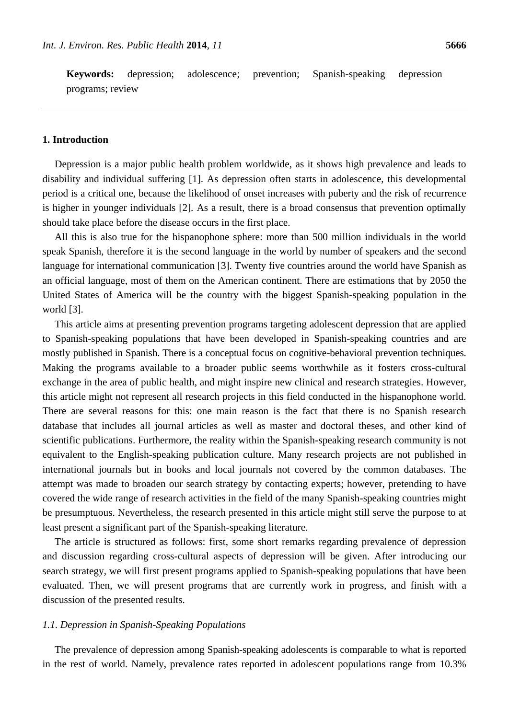**Keywords:** depression; adolescence; prevention; Spanish-speaking depression programs; review

#### **1. Introduction**

Depression is a major public health problem worldwide, as it shows high prevalence and leads to disability and individual suffering [1]. As depression often starts in adolescence, this developmental period is a critical one, because the likelihood of onset increases with puberty and the risk of recurrence is higher in younger individuals [2]. As a result, there is a broad consensus that prevention optimally should take place before the disease occurs in the first place.

All this is also true for the hispanophone sphere: more than 500 million individuals in the world speak Spanish, therefore it is the second language in the world by number of speakers and the second language for international communication [3]. Twenty five countries around the world have Spanish as an official language, most of them on the American continent. There are estimations that by 2050 the United States of America will be the country with the biggest Spanish-speaking population in the world [3].

This article aims at presenting prevention programs targeting adolescent depression that are applied to Spanish-speaking populations that have been developed in Spanish-speaking countries and are mostly published in Spanish. There is a conceptual focus on cognitive-behavioral prevention techniques. Making the programs available to a broader public seems worthwhile as it fosters cross-cultural exchange in the area of public health, and might inspire new clinical and research strategies. However, this article might not represent all research projects in this field conducted in the hispanophone world. There are several reasons for this: one main reason is the fact that there is no Spanish research database that includes all journal articles as well as master and doctoral theses, and other kind of scientific publications. Furthermore, the reality within the Spanish-speaking research community is not equivalent to the English-speaking publication culture. Many research projects are not published in international journals but in books and local journals not covered by the common databases. The attempt was made to broaden our search strategy by contacting experts; however, pretending to have covered the wide range of research activities in the field of the many Spanish-speaking countries might be presumptuous. Nevertheless, the research presented in this article might still serve the purpose to at least present a significant part of the Spanish-speaking literature.

The article is structured as follows: first, some short remarks regarding prevalence of depression and discussion regarding cross-cultural aspects of depression will be given. After introducing our search strategy, we will first present programs applied to Spanish-speaking populations that have been evaluated. Then, we will present programs that are currently work in progress, and finish with a discussion of the presented results.

### *1.1. Depression in Spanish-Speaking Populations*

The prevalence of depression among Spanish-speaking adolescents is comparable to what is reported in the rest of world. Namely, prevalence rates reported in adolescent populations range from 10.3%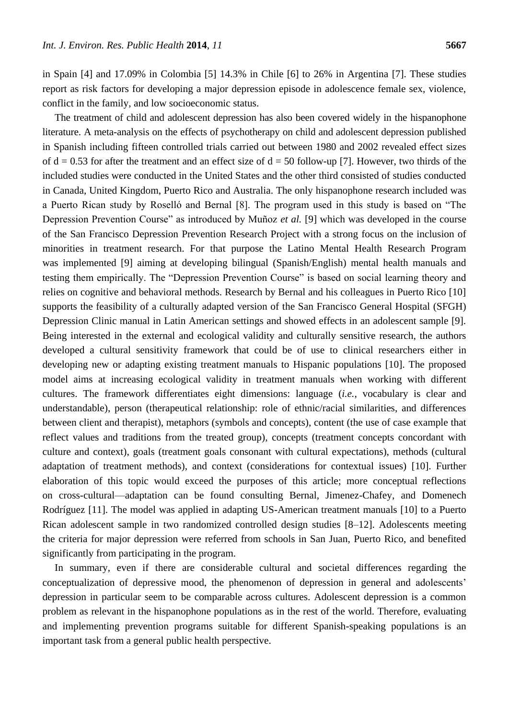in Spain [4] and 17.09% in Colombia [5] 14.3% in Chile [6] to 26% in Argentina [7]. These studies report as risk factors for developing a major depression episode in adolescence female sex, violence, conflict in the family, and low socioeconomic status.

The treatment of child and adolescent depression has also been covered widely in the hispanophone literature. A meta-analysis on the effects of psychotherapy on child and adolescent depression published in Spanish including fifteen controlled trials carried out between 1980 and 2002 revealed effect sizes of  $d = 0.53$  for after the treatment and an effect size of  $d = 50$  follow-up [7]. However, two thirds of the included studies were conducted in the United States and the other third consisted of studies conducted in Canada, United Kingdom, Puerto Rico and Australia. The only hispanophone research included was a Puerto Rican study by Roselló and Bernal [8]. The program used in this study is based on "The Depression Prevention Course" as introduced by Muñoz *et al.* [9] which was developed in the course of the San Francisco Depression Prevention Research Project with a strong focus on the inclusion of minorities in treatment research. For that purpose the Latino Mental Health Research Program was implemented [9] aiming at developing bilingual (Spanish/English) mental health manuals and testing them empirically. The "Depression Prevention Course" is based on social learning theory and relies on cognitive and behavioral methods. Research by Bernal and his colleagues in Puerto Rico [10] supports the feasibility of a culturally adapted version of the San Francisco General Hospital (SFGH) Depression Clinic manual in Latin American settings and showed effects in an adolescent sample [9]. Being interested in the external and ecological validity and culturally sensitive research, the authors developed a cultural sensitivity framework that could be of use to clinical researchers either in developing new or adapting existing treatment manuals to Hispanic populations [10]. The proposed model aims at increasing ecological validity in treatment manuals when working with different cultures. The framework differentiates eight dimensions: language (*i.e.*, vocabulary is clear and understandable), person (therapeutical relationship: role of ethnic/racial similarities, and differences between client and therapist), metaphors (symbols and concepts), content (the use of case example that reflect values and traditions from the treated group), concepts (treatment concepts concordant with culture and context), goals (treatment goals consonant with cultural expectations), methods (cultural adaptation of treatment methods), and context (considerations for contextual issues) [10]. Further elaboration of this topic would exceed the purposes of this article; more conceptual reflections on cross-cultural—adaptation can be found consulting Bernal, Jimenez-Chafey, and Domenech Rodr guez [11]. The model was applied in adapting US-American treatment manuals [10] to a Puerto Rican adolescent sample in two randomized controlled design studies [8–12]. Adolescents meeting the criteria for major depression were referred from schools in San Juan, Puerto Rico, and benefited significantly from participating in the program.

In summary, even if there are considerable cultural and societal differences regarding the conceptualization of depressive mood, the phenomenon of depression in general and adolescents' depression in particular seem to be comparable across cultures. Adolescent depression is a common problem as relevant in the hispanophone populations as in the rest of the world. Therefore, evaluating and implementing prevention programs suitable for different Spanish-speaking populations is an important task from a general public health perspective.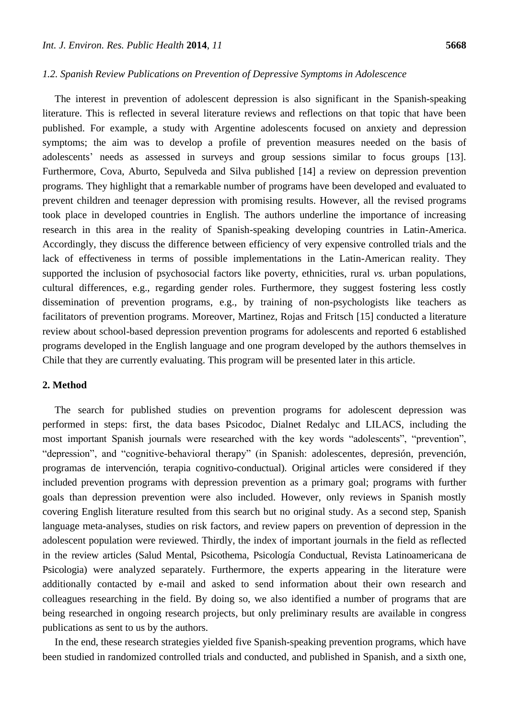#### *1.2. Spanish Review Publications on Prevention of Depressive Symptoms in Adolescence*

The interest in prevention of adolescent depression is also significant in the Spanish-speaking literature. This is reflected in several literature reviews and reflections on that topic that have been published. For example, a study with Argentine adolescents focused on anxiety and depression symptoms; the aim was to develop a profile of prevention measures needed on the basis of adolescents' needs as assessed in surveys and group sessions similar to focus groups [13]. Furthermore, Cova, Aburto, Sepulveda and Silva published [14] a review on depression prevention programs*.* They highlight that a remarkable number of programs have been developed and evaluated to prevent children and teenager depression with promising results. However, all the revised programs took place in developed countries in English. The authors underline the importance of increasing research in this area in the reality of Spanish-speaking developing countries in Latin-America. Accordingly, they discuss the difference between efficiency of very expensive controlled trials and the lack of effectiveness in terms of possible implementations in the Latin-American reality. They supported the inclusion of psychosocial factors like poverty, ethnicities, rural *vs.* urban populations, cultural differences, e.g., regarding gender roles. Furthermore, they suggest fostering less costly dissemination of prevention programs, e.g., by training of non-psychologists like teachers as facilitators of prevention programs. Moreover, Martinez, Rojas and Fritsch [15] conducted a literature review about school-based depression prevention programs for adolescents and reported 6 established programs developed in the English language and one program developed by the authors themselves in Chile that they are currently evaluating. This program will be presented later in this article.

#### **2. Method**

The search for published studies on prevention programs for adolescent depression was performed in steps: first, the data bases Psicodoc, Dialnet Redalyc and LILACS, including the most important Spanish journals were researched with the key words "adolescents", "prevention", "depression", and "cognitive-behavioral therapy" (in Spanish: adolescentes, depresión, prevención, programas de intervención, terapia cognitivo-conductual). Original articles were considered if they included prevention programs with depression prevention as a primary goal; programs with further goals than depression prevention were also included. However, only reviews in Spanish mostly covering English literature resulted from this search but no original study. As a second step, Spanish language meta-analyses, studies on risk factors, and review papers on prevention of depression in the adolescent population were reviewed. Thirdly, the index of important journals in the field as reflected in the review articles (Salud Mental, Psicothema, Psicología Conductual, Revista Latinoamericana de Psicologia) were analyzed separately. Furthermore, the experts appearing in the literature were additionally contacted by e-mail and asked to send information about their own research and colleagues researching in the field. By doing so, we also identified a number of programs that are being researched in ongoing research projects, but only preliminary results are available in congress publications as sent to us by the authors.

In the end, these research strategies yielded five Spanish-speaking prevention programs, which have been studied in randomized controlled trials and conducted, and published in Spanish, and a sixth one,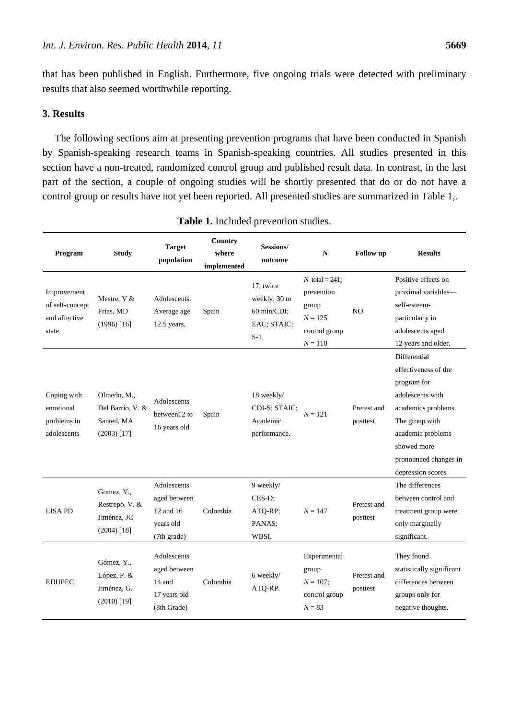that has been published in English. Furthermore, five ongoing trials were detected with preliminary results that also seemed worthwhile reporting.

# **3. Results**

The following sections aim at presenting prevention programs that have been conducted in Spanish by Spanish-speaking research teams in Spanish-speaking countries. All studies presented in this section have a non-treated, randomized control group and published result data. In contrast, in the last part of the section, a couple of ongoing studies will be shortly presented that do or do not have a control group or results have not yet been reported. All presented studies are summarized in Table 1,.

| Program                                                  | <b>Study</b>                                                   | <b>Target</b><br>population                                          | Country<br>where<br>implemented | Sessions/<br>outcome                                                | $\boldsymbol{N}$                                                                    | Follow up               | <b>Results</b>                                                                                                                                                                                     |
|----------------------------------------------------------|----------------------------------------------------------------|----------------------------------------------------------------------|---------------------------------|---------------------------------------------------------------------|-------------------------------------------------------------------------------------|-------------------------|----------------------------------------------------------------------------------------------------------------------------------------------------------------------------------------------------|
| Improvement<br>of self-concept<br>and affective<br>state | Mestre, V &<br>Frias, MD<br>$(1996)$ [16]                      | Adolescents.<br>Average age<br>12.5 years.                           | Spain                           | 17, twice<br>weekly; 30 to<br>60 min/CDI;<br>EAC; STAIC;<br>$S-1$ . | N total = $241$ ;<br>prevention<br>group<br>$N = 125$<br>control group<br>$N = 110$ | N <sub>O</sub>          | Positive effects on<br>proximal variables—<br>self-esteem-<br>particularly in<br>adolescents aged<br>12 years and older.                                                                           |
| Coping with<br>emotional<br>problems in<br>adolescents   | Olmedo, M.,<br>Del Barrio, V. &<br>Santed, MA<br>$(2003)$ [17] | Adolescents<br>between12 to<br>16 years old                          | Spain                           | 18 weekly/<br>CDI-S; STAIC;<br>Academic<br>performance.             | $N = 121$                                                                           | Pretest and<br>posttest | Differential<br>effectiveness of the<br>program for<br>adolescents with<br>academics problems.<br>The group with<br>academic problems<br>showed more<br>pronounced changes in<br>depression scores |
| <b>LISA PD</b>                                           | Gomez, Y.,<br>Restrepo, V. &<br>Jim énez, JC<br>$(2004)$ [18]  | Adolescents<br>aged between<br>12 and 16<br>years old<br>(7th grade) | Colombia                        | 9 weekly/<br>CES-D;<br>ATQ-RP;<br>PANAS;<br>WBSI.                   | $N = 147$                                                                           | Pretest and<br>posttest | The differences<br>between control and<br>treatment group were<br>only marginally<br>significant.                                                                                                  |
| <b>EDUPEC</b>                                            | Gómez, Y.,<br>López, P. &<br>Jim énez, G.<br>$(2010)$ [19]     | Adolescents<br>aged between<br>14 and<br>17 years old<br>(8th Grade) | Colombia                        | 6 weekly/<br>ATQ-RP.                                                | Experimental<br>group<br>$N = 107;$<br>control group<br>$N = 83$                    | Pretest and<br>posttest | They found<br>statistically significant<br>differences between<br>groups only for<br>negative thoughts.                                                                                            |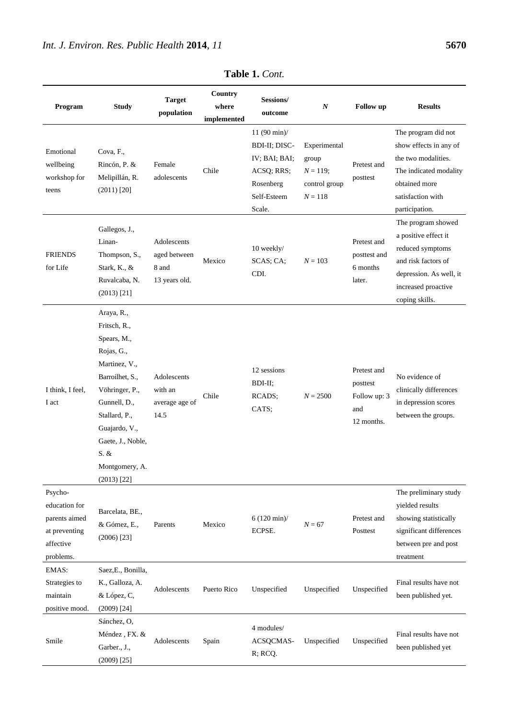| Program                                                                              | <b>Study</b>                                                                                                                                                                                                                    | <b>Target</b><br>population                           | Country<br>where<br>implemented | Sessions/<br>outcome                                                                                  | $\boldsymbol{N}$                                                  | <b>Follow</b> up                                             | <b>Results</b>                                                                                                                                            |
|--------------------------------------------------------------------------------------|---------------------------------------------------------------------------------------------------------------------------------------------------------------------------------------------------------------------------------|-------------------------------------------------------|---------------------------------|-------------------------------------------------------------------------------------------------------|-------------------------------------------------------------------|--------------------------------------------------------------|-----------------------------------------------------------------------------------------------------------------------------------------------------------|
| Emotional<br>wellbeing<br>workshop for<br>teens                                      | Cova, F.,<br>Rinc ón, P. &<br>Melipill án, R.<br>$(2011)$ [20]                                                                                                                                                                  | Female<br>adolescents                                 | Chile                           | $11 (90 min)$ /<br>BDI-II; DISC-<br>IV; BAI; BAI;<br>ACSQ; RRS;<br>Rosenberg<br>Self-Esteem<br>Scale. | Experimental<br>group<br>$N = 119;$<br>control group<br>$N = 118$ | Pretest and<br>posttest                                      | The program did not<br>show effects in any of<br>the two modalities.<br>The indicated modality<br>obtained more<br>satisfaction with<br>participation.    |
| <b>FRIENDS</b><br>for Life                                                           | Gallegos, J.,<br>Linan-<br>Thompson, S.,<br>Stark, K., &<br>Ruvalcaba, N.<br>$(2013)$ [21]                                                                                                                                      | Adolescents<br>aged between<br>8 and<br>13 years old. | Mexico                          | 10 weekly/<br>SCAS; CA;<br>CDI.                                                                       | $N = 103$                                                         | Pretest and<br>posttest and<br>6 months<br>later.            | The program showed<br>a positive effect it<br>reduced symptoms<br>and risk factors of<br>depression. As well, it<br>increased proactive<br>coping skills. |
| I think, I feel,<br>I act                                                            | Araya, R.,<br>Fritsch, R.,<br>Spears, M.,<br>Rojas, G.,<br>Martinez, V.,<br>Barroilhet, S.,<br>Vöhringer, P.,<br>Gunnell, D.,<br>Stallard, P.,<br>Guajardo, V.,<br>Gaete, J., Noble,<br>S. &<br>Montgomery, A.<br>$(2013)$ [22] | Adolescents<br>with an<br>average age of<br>14.5      | Chile                           | 12 sessions<br>BDI-II;<br>RCADS;<br>CATS;                                                             | $N = 2500$                                                        | Pretest and<br>posttest<br>Follow up: 3<br>and<br>12 months. | No evidence of<br>clinically differences<br>in depression scores<br>between the groups.                                                                   |
| Psycho-<br>education for<br>parents aimed<br>at preventing<br>affective<br>problems. | Barcelata, BE.,<br>& Gómez, E.,<br>$(2006)$ [23]                                                                                                                                                                                | Parents                                               | Mexico                          | $6(120 \text{ min})/$<br>ECPSE.                                                                       | $N = 67$                                                          | Pretest and<br>Posttest                                      | The preliminary study<br>yielded results<br>showing statistically<br>significant differences<br>between pre and post<br>treatment                         |
| EMAS:<br>Strategies to<br>maintain<br>positive mood.                                 | Saez, E., Bonilla,<br>K., Galloza, A.<br>& López, C,<br>$(2009)$ [24]                                                                                                                                                           | Adolescents                                           | Puerto Rico                     | Unspecified                                                                                           | Unspecified                                                       | Unspecified                                                  | Final results have not<br>been published yet.                                                                                                             |
| Smile                                                                                | Sánchez, O,<br>Méndez, FX. &<br>Garber., J.,<br>$(2009)$ [25]                                                                                                                                                                   | Adolescents                                           | Spain                           | 4 modules/<br>ACSQCMAS-<br>R; RCQ.                                                                    | Unspecified                                                       | Unspecified                                                  | Final results have not<br>been published yet                                                                                                              |

**Table 1.** *Cont.*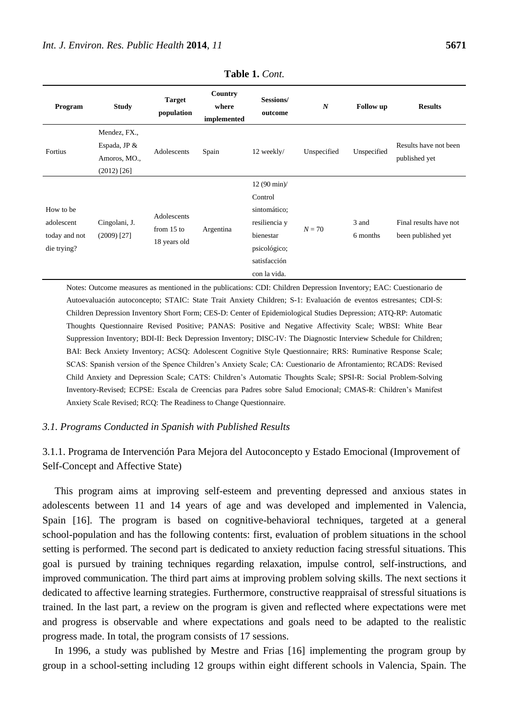| Program                                                 | <b>Study</b>                                                    | <b>Target</b><br>population                 | Country<br>where<br>implemented | Sessions/<br>outcome                                                                                                            | $\boldsymbol{N}$ | <b>Follow</b> up  | <b>Results</b>                               |
|---------------------------------------------------------|-----------------------------------------------------------------|---------------------------------------------|---------------------------------|---------------------------------------------------------------------------------------------------------------------------------|------------------|-------------------|----------------------------------------------|
| Fortius                                                 | Mendez, FX.,<br>Espada, JP $&$<br>Amoros, MO.,<br>$(2012)$ [26] | Adolescents                                 | Spain                           | 12 weekly/                                                                                                                      | Unspecified      | Unspecified       | Results have not been<br>published yet       |
| How to be<br>adolescent<br>today and not<br>die trying? | Cingolani, J.<br>$(2009)$ [27]                                  | Adolescents<br>from $15$ to<br>18 years old | Argentina                       | $12(90 \text{ min})/$<br>Control<br>sintom ático;<br>resiliencia y<br>bienestar<br>psicológico;<br>satisfacción<br>con la vida. | $N = 70$         | 3 and<br>6 months | Final results have not<br>been published yet |

**Table 1.** *Cont.*

Notes: Outcome measures as mentioned in the publications: CDI: Children Depression Inventory; EAC: Cuestionario de Autoevaluación autoconcepto; STAIC: State Trait Anxiety Children; S-1: Evaluación de eventos estresantes; CDI-S: Children Depression Inventory Short Form; CES-D: Center of Epidemiological Studies Depression; ATQ-RP: Automatic Thoughts Questionnaire Revised Positive; PANAS: Positive and Negative Affectivity Scale; WBSI: White Bear Suppression Inventory; BDI-II: Beck Depression Inventory; DISC-IV: The Diagnostic Interview Schedule for Children; BAI: Beck Anxiety Inventory; ACSQ: Adolescent Cognitive Style Questionnaire; RRS: Ruminative Response Scale; SCAS: Spanish version of the Spence Children's Anxiety Scale; CA: Cuestionario de Afrontamiento; RCADS: Revised Child Anxiety and Depression Scale; CATS: Children's Automatic Thoughts Scale; SPSI-R: Social Problem-Solving Inventory-Revised; ECPSE: Escala de Creencias para Padres sobre Salud Emocional; CMAS-R: Children's Manifest Anxiety Scale Revised; RCQ: The Readiness to Change Questionnaire.

# *3.1. Programs Conducted in Spanish with Published Results*

# 3.1.1. Programa de Intervención Para Mejora del Autoconcepto y Estado Emocional (Improvement of Self-Concept and Affective State)

This program aims at improving self-esteem and preventing depressed and anxious states in adolescents between 11 and 14 years of age and was developed and implemented in Valencia, Spain [16]. The program is based on cognitive-behavioral techniques, targeted at a general school-population and has the following contents: first, evaluation of problem situations in the school setting is performed. The second part is dedicated to anxiety reduction facing stressful situations. This goal is pursued by training techniques regarding relaxation, impulse control, self-instructions, and improved communication. The third part aims at improving problem solving skills. The next sections it dedicated to affective learning strategies. Furthermore, constructive reappraisal of stressful situations is trained. In the last part, a review on the program is given and reflected where expectations were met and progress is observable and where expectations and goals need to be adapted to the realistic progress made. In total, the program consists of 17 sessions.

In 1996, a study was published by Mestre and Frias [16] implementing the program group by group in a school-setting including 12 groups within eight different schools in Valencia, Spain. The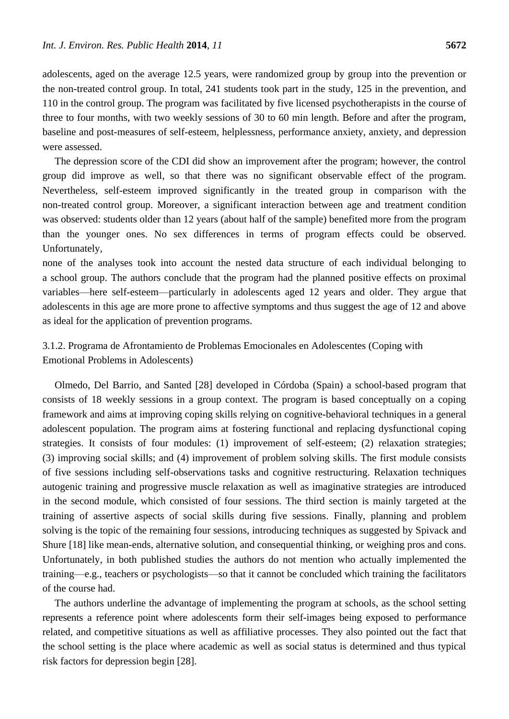adolescents, aged on the average 12.5 years, were randomized group by group into the prevention or the non-treated control group. In total, 241 students took part in the study, 125 in the prevention, and 110 in the control group. The program was facilitated by five licensed psychotherapists in the course of three to four months, with two weekly sessions of 30 to 60 min length. Before and after the program, baseline and post-measures of self-esteem, helplessness, performance anxiety, anxiety, and depression were assessed.

The depression score of the CDI did show an improvement after the program; however, the control group did improve as well, so that there was no significant observable effect of the program. Nevertheless, self-esteem improved significantly in the treated group in comparison with the non-treated control group. Moreover, a significant interaction between age and treatment condition was observed: students older than 12 years (about half of the sample) benefited more from the program than the younger ones. No sex differences in terms of program effects could be observed. Unfortunately,

none of the analyses took into account the nested data structure of each individual belonging to a school group. The authors conclude that the program had the planned positive effects on proximal variables—here self-esteem—particularly in adolescents aged 12 years and older. They argue that adolescents in this age are more prone to affective symptoms and thus suggest the age of 12 and above as ideal for the application of prevention programs.

# 3.1.2. Programa de Afrontamiento de Problemas Emocionales en Adolescentes (Coping with Emotional Problems in Adolescents)

Olmedo, Del Barrio, and Santed [28] developed in Córdoba (Spain) a school-based program that consists of 18 weekly sessions in a group context. The program is based conceptually on a coping framework and aims at improving coping skills relying on cognitive-behavioral techniques in a general adolescent population. The program aims at fostering functional and replacing dysfunctional coping strategies. It consists of four modules: (1) improvement of self-esteem; (2) relaxation strategies; (3) improving social skills; and (4) improvement of problem solving skills. The first module consists of five sessions including self-observations tasks and cognitive restructuring. Relaxation techniques autogenic training and progressive muscle relaxation as well as imaginative strategies are introduced in the second module, which consisted of four sessions. The third section is mainly targeted at the training of assertive aspects of social skills during five sessions. Finally, planning and problem solving is the topic of the remaining four sessions, introducing techniques as suggested by Spivack and Shure [18] like mean-ends, alternative solution, and consequential thinking, or weighing pros and cons. Unfortunately, in both published studies the authors do not mention who actually implemented the training—e.g., teachers or psychologists—so that it cannot be concluded which training the facilitators of the course had.

The authors underline the advantage of implementing the program at schools, as the school setting represents a reference point where adolescents form their self-images being exposed to performance related, and competitive situations as well as affiliative processes. They also pointed out the fact that the school setting is the place where academic as well as social status is determined and thus typical risk factors for depression begin [28].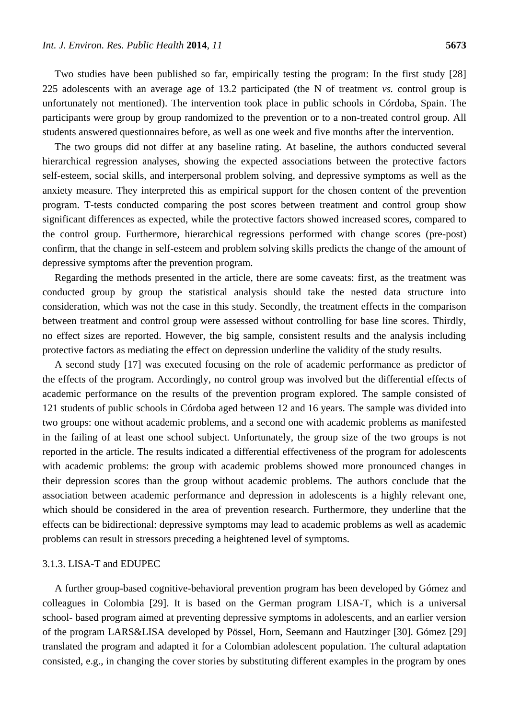Two studies have been published so far, empirically testing the program: In the first study [28] 225 adolescents with an average age of 13.2 participated (the N of treatment *vs.* control group is unfortunately not mentioned). The intervention took place in public schools in Córdoba, Spain. The participants were group by group randomized to the prevention or to a non-treated control group. All students answered questionnaires before, as well as one week and five months after the intervention.

The two groups did not differ at any baseline rating. At baseline, the authors conducted several hierarchical regression analyses, showing the expected associations between the protective factors self-esteem, social skills, and interpersonal problem solving, and depressive symptoms as well as the anxiety measure. They interpreted this as empirical support for the chosen content of the prevention program. T-tests conducted comparing the post scores between treatment and control group show significant differences as expected, while the protective factors showed increased scores, compared to the control group. Furthermore, hierarchical regressions performed with change scores (pre-post) confirm, that the change in self-esteem and problem solving skills predicts the change of the amount of depressive symptoms after the prevention program.

Regarding the methods presented in the article, there are some caveats: first, as the treatment was conducted group by group the statistical analysis should take the nested data structure into consideration, which was not the case in this study. Secondly, the treatment effects in the comparison between treatment and control group were assessed without controlling for base line scores. Thirdly, no effect sizes are reported. However, the big sample, consistent results and the analysis including protective factors as mediating the effect on depression underline the validity of the study results.

A second study [17] was executed focusing on the role of academic performance as predictor of the effects of the program. Accordingly, no control group was involved but the differential effects of academic performance on the results of the prevention program explored. The sample consisted of 121 students of public schools in Córdoba aged between 12 and 16 years. The sample was divided into two groups: one without academic problems, and a second one with academic problems as manifested in the failing of at least one school subject. Unfortunately, the group size of the two groups is not reported in the article. The results indicated a differential effectiveness of the program for adolescents with academic problems: the group with academic problems showed more pronounced changes in their depression scores than the group without academic problems. The authors conclude that the association between academic performance and depression in adolescents is a highly relevant one, which should be considered in the area of prevention research. Furthermore, they underline that the effects can be bidirectional: depressive symptoms may lead to academic problems as well as academic problems can result in stressors preceding a heightened level of symptoms.

#### 3.1.3. LISA-T and EDUPEC

A further group-based cognitive-behavioral prevention program has been developed by Gómez and colleagues in Colombia [29]. It is based on the German program LISA-T, which is a universal school- based program aimed at preventing depressive symptoms in adolescents, and an earlier version of the program LARS&LISA developed by Pössel, Horn, Seemann and Hautzinger [30]. Gómez [29] translated the program and adapted it for a Colombian adolescent population. The cultural adaptation consisted, e.g., in changing the cover stories by substituting different examples in the program by ones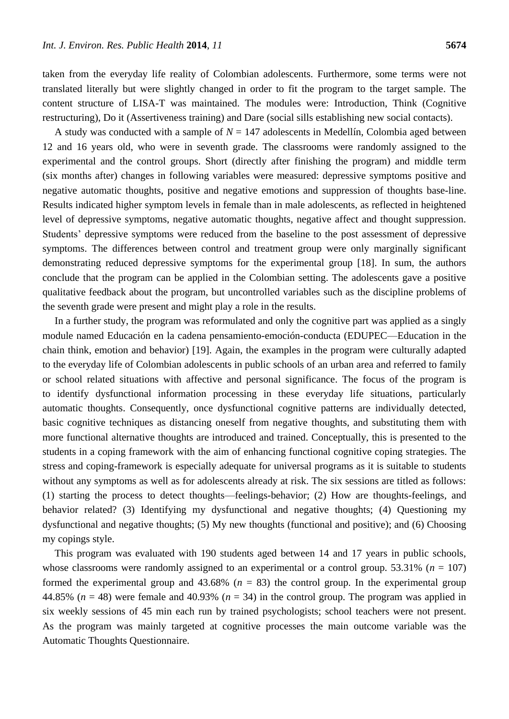taken from the everyday life reality of Colombian adolescents. Furthermore, some terms were not translated literally but were slightly changed in order to fit the program to the target sample. The content structure of LISA-T was maintained. The modules were: Introduction, Think (Cognitive restructuring), Do it (Assertiveness training) and Dare (social sills establishing new social contacts).

A study was conducted with a sample of  $N = 147$  adolescents in Medell n, Colombia aged between 12 and 16 years old, who were in seventh grade. The classrooms were randomly assigned to the experimental and the control groups. Short (directly after finishing the program) and middle term (six months after) changes in following variables were measured: depressive symptoms positive and negative automatic thoughts, positive and negative emotions and suppression of thoughts base-line. Results indicated higher symptom levels in female than in male adolescents, as reflected in heightened level of depressive symptoms, negative automatic thoughts, negative affect and thought suppression. Students' depressive symptoms were reduced from the baseline to the post assessment of depressive symptoms. The differences between control and treatment group were only marginally significant demonstrating reduced depressive symptoms for the experimental group [18]. In sum, the authors conclude that the program can be applied in the Colombian setting. The adolescents gave a positive qualitative feedback about the program, but uncontrolled variables such as the discipline problems of the seventh grade were present and might play a role in the results.

In a further study, the program was reformulated and only the cognitive part was applied as a singly module named Educación en la cadena pensamiento-emoción-conducta (EDUPEC—Education in the chain think, emotion and behavior) [19]. Again, the examples in the program were culturally adapted to the everyday life of Colombian adolescents in public schools of an urban area and referred to family or school related situations with affective and personal significance. The focus of the program is to identify dysfunctional information processing in these everyday life situations, particularly automatic thoughts. Consequently, once dysfunctional cognitive patterns are individually detected, basic cognitive techniques as distancing oneself from negative thoughts, and substituting them with more functional alternative thoughts are introduced and trained. Conceptually, this is presented to the students in a coping framework with the aim of enhancing functional cognitive coping strategies. The stress and coping-framework is especially adequate for universal programs as it is suitable to students without any symptoms as well as for adolescents already at risk. The six sessions are titled as follows: (1) starting the process to detect thoughts—feelings-behavior; (2) How are thoughts-feelings, and behavior related? (3) Identifying my dysfunctional and negative thoughts; (4) Questioning my dysfunctional and negative thoughts; (5) My new thoughts (functional and positive); and (6) Choosing my copings style.

This program was evaluated with 190 students aged between 14 and 17 years in public schools, whose classrooms were randomly assigned to an experimental or a control group.  $53.31\%$  ( $n = 107$ ) formed the experimental group and  $43.68\%$  ( $n = 83$ ) the control group. In the experimental group 44.85% ( $n = 48$ ) were female and 40.93% ( $n = 34$ ) in the control group. The program was applied in six weekly sessions of 45 min each run by trained psychologists; school teachers were not present. As the program was mainly targeted at cognitive processes the main outcome variable was the Automatic Thoughts Questionnaire.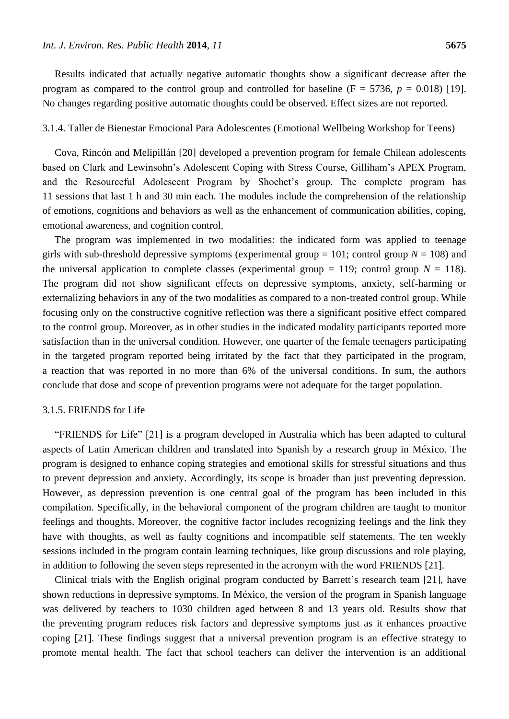Results indicated that actually negative automatic thoughts show a significant decrease after the program as compared to the control group and controlled for baseline  $(F = 5736, p = 0.018)$  [19]. No changes regarding positive automatic thoughts could be observed. Effect sizes are not reported.

#### 3.1.4. Taller de Bienestar Emocional Para Adolescentes (Emotional Wellbeing Workshop for Teens)

Cova, Rincón and Melipillán [20] developed a prevention program for female Chilean adolescents based on Clark and Lewinsohn's Adolescent Coping with Stress Course, Gilliham's APEX Program, and the Resourceful Adolescent Program by Shochet's group. The complete program has 11 sessions that last 1 h and 30 min each. The modules include the comprehension of the relationship of emotions, cognitions and behaviors as well as the enhancement of communication abilities, coping, emotional awareness, and cognition control.

The program was implemented in two modalities: the indicated form was applied to teenage girls with sub-threshold depressive symptoms (experimental group  $= 101$ ; control group  $N = 108$ ) and the universal application to complete classes (experimental group  $= 119$ ; control group  $N = 118$ ). The program did not show significant effects on depressive symptoms, anxiety, self-harming or externalizing behaviors in any of the two modalities as compared to a non-treated control group. While focusing only on the constructive cognitive reflection was there a significant positive effect compared to the control group. Moreover, as in other studies in the indicated modality participants reported more satisfaction than in the universal condition. However, one quarter of the female teenagers participating in the targeted program reported being irritated by the fact that they participated in the program, a reaction that was reported in no more than 6% of the universal conditions. In sum, the authors conclude that dose and scope of prevention programs were not adequate for the target population.

#### 3.1.5. FRIENDS for Life

"FRIENDS for Life" [21] is a program developed in Australia which has been adapted to cultural aspects of Latin American children and translated into Spanish by a research group in México. The program is designed to enhance coping strategies and emotional skills for stressful situations and thus to prevent depression and anxiety. Accordingly, its scope is broader than just preventing depression. However, as depression prevention is one central goal of the program has been included in this compilation. Specifically, in the behavioral component of the program children are taught to monitor feelings and thoughts. Moreover, the cognitive factor includes recognizing feelings and the link they have with thoughts, as well as faulty cognitions and incompatible self statements. The ten weekly sessions included in the program contain learning techniques, like group discussions and role playing, in addition to following the seven steps represented in the acronym with the word FRIENDS [21].

Clinical trials with the English original program conducted by Barrett's research team [21], have shown reductions in depressive symptoms. In México, the version of the program in Spanish language was delivered by teachers to 1030 children aged between 8 and 13 years old. Results show that the preventing program reduces risk factors and depressive symptoms just as it enhances proactive coping [21]. These findings suggest that a universal prevention program is an effective strategy to promote mental health. The fact that school teachers can deliver the intervention is an additional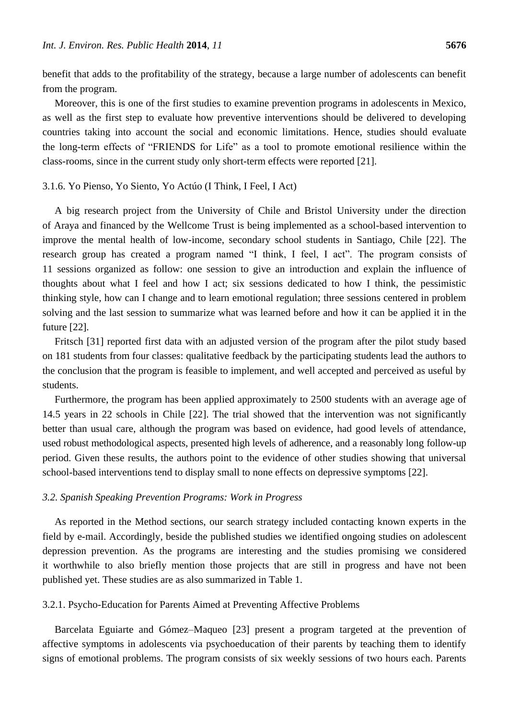benefit that adds to the profitability of the strategy, because a large number of adolescents can benefit from the program.

Moreover, this is one of the first studies to examine prevention programs in adolescents in Mexico, as well as the first step to evaluate how preventive interventions should be delivered to developing countries taking into account the social and economic limitations. Hence, studies should evaluate the long-term effects of "FRIENDS for Life" as a tool to promote emotional resilience within the class-rooms, since in the current study only short-term effects were reported [21].

#### 3.1.6. Yo Pienso, Yo Siento, Yo Actúo (I Think, I Feel, I Act)

A big research project from the University of Chile and Bristol University under the direction of Araya and financed by the Wellcome Trust is being implemented as a school-based intervention to improve the mental health of low-income, secondary school students in Santiago, Chile [22]. The research group has created a program named "I think, I feel, I act". The program consists of 11 sessions organized as follow: one session to give an introduction and explain the influence of thoughts about what I feel and how I act; six sessions dedicated to how I think, the pessimistic thinking style, how can I change and to learn emotional regulation; three sessions centered in problem solving and the last session to summarize what was learned before and how it can be applied it in the future [22].

Fritsch [31] reported first data with an adjusted version of the program after the pilot study based on 181 students from four classes: qualitative feedback by the participating students lead the authors to the conclusion that the program is feasible to implement, and well accepted and perceived as useful by students.

Furthermore, the program has been applied approximately to 2500 students with an average age of 14.5 years in 22 schools in Chile [22]. The trial showed that the intervention was not significantly better than usual care, although the program was based on evidence, had good levels of attendance, used robust methodological aspects, presented high levels of adherence, and a reasonably long follow-up period. Given these results, the authors point to the evidence of other studies showing that universal school-based interventions tend to display small to none effects on depressive symptoms [22].

#### *3.2. Spanish Speaking Prevention Programs: Work in Progress*

As reported in the Method sections, our search strategy included contacting known experts in the field by e-mail. Accordingly, beside the published studies we identified ongoing studies on adolescent depression prevention. As the programs are interesting and the studies promising we considered it worthwhile to also briefly mention those projects that are still in progress and have not been published yet. These studies are as also summarized in Table 1.

# 3.2.1. Psycho-Education for Parents Aimed at Preventing Affective Problems

Barcelata Eguiarte and Gómez–Maqueo [23] present a program targeted at the prevention of affective symptoms in adolescents via psychoeducation of their parents by teaching them to identify signs of emotional problems. The program consists of six weekly sessions of two hours each. Parents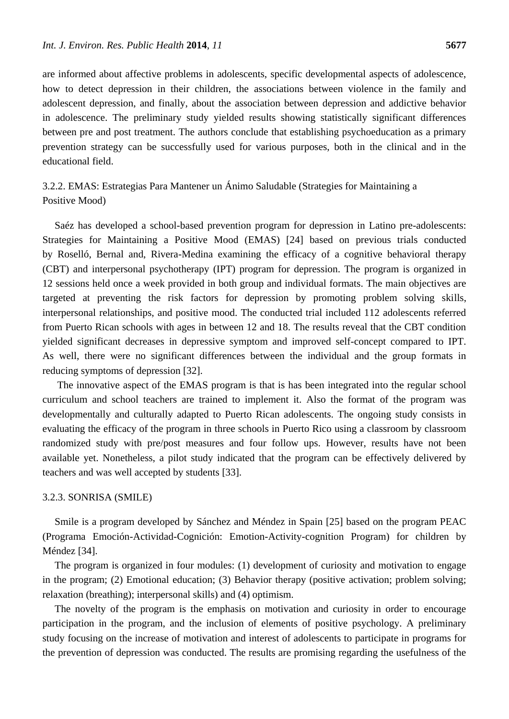are informed about affective problems in adolescents, specific developmental aspects of adolescence, how to detect depression in their children, the associations between violence in the family and adolescent depression, and finally, about the association between depression and addictive behavior in adolescence. The preliminary study yielded results showing statistically significant differences between pre and post treatment. The authors conclude that establishing psychoeducation as a primary prevention strategy can be successfully used for various purposes, both in the clinical and in the educational field.

3.2.2. EMAS: Estrategias Para Mantener un Ánimo Saludable (Strategies for Maintaining a Positive Mood)

Saéz has developed a school-based prevention program for depression in Latino pre-adolescents: Strategies for Maintaining a Positive Mood (EMAS) [24] based on previous trials conducted by Roselló, Bernal and, Rivera-Medina examining the efficacy of a cognitive behavioral therapy (CBT) and interpersonal psychotherapy (IPT) program for depression. The program is organized in 12 sessions held once a week provided in both group and individual formats. The main objectives are targeted at preventing the risk factors for depression by promoting problem solving skills, interpersonal relationships, and positive mood. The conducted trial included 112 adolescents referred from Puerto Rican schools with ages in between 12 and 18. The results reveal that the CBT condition yielded significant decreases in depressive symptom and improved self-concept compared to IPT. As well, there were no significant differences between the individual and the group formats in reducing symptoms of depression [32].

The innovative aspect of the EMAS program is that is has been integrated into the regular school curriculum and school teachers are trained to implement it. Also the format of the program was developmentally and culturally adapted to Puerto Rican adolescents. The ongoing study consists in evaluating the efficacy of the program in three schools in Puerto Rico using a classroom by classroom randomized study with pre/post measures and four follow ups. However, results have not been available yet. Nonetheless, a pilot study indicated that the program can be effectively delivered by teachers and was well accepted by students [33].

#### 3.2.3. SONRISA (SMILE)

Smile is a program developed by Sánchez and Méndez in Spain [25] based on the program PEAC (Programa Emoción-Actividad-Cognición: Emotion-Activity-cognition Program) for children by Méndez [34].

The program is organized in four modules: (1) development of curiosity and motivation to engage in the program; (2) Emotional education; (3) Behavior therapy (positive activation; problem solving; relaxation (breathing); interpersonal skills) and (4) optimism.

The novelty of the program is the emphasis on motivation and curiosity in order to encourage participation in the program, and the inclusion of elements of positive psychology. A preliminary study focusing on the increase of motivation and interest of adolescents to participate in programs for the prevention of depression was conducted. The results are promising regarding the usefulness of the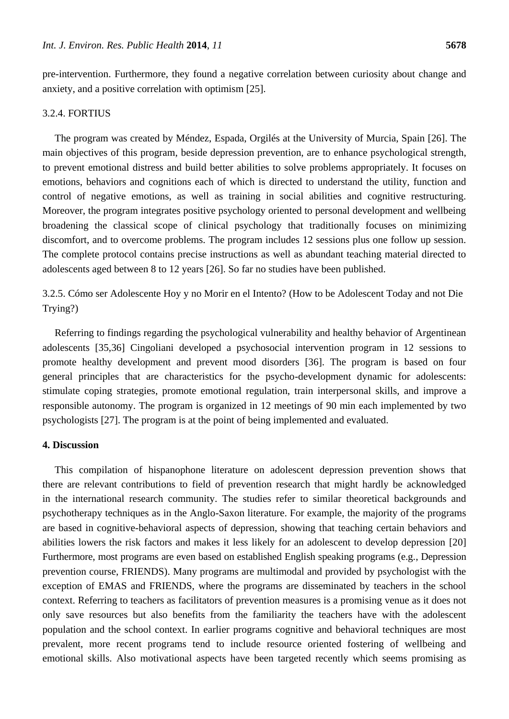pre-intervention. Furthermore, they found a negative correlation between curiosity about change and anxiety, and a positive correlation with optimism [25].

#### 3.2.4. FORTIUS

The program was created by Méndez, Espada, Orgilés at the University of Murcia, Spain [26]. The main objectives of this program, beside depression prevention, are to enhance psychological strength, to prevent emotional distress and build better abilities to solve problems appropriately. It focuses on emotions, behaviors and cognitions each of which is directed to understand the utility, function and control of negative emotions, as well as training in social abilities and cognitive restructuring. Moreover, the program integrates positive psychology oriented to personal development and wellbeing broadening the classical scope of clinical psychology that traditionally focuses on minimizing discomfort, and to overcome problems. The program includes 12 sessions plus one follow up session. The complete protocol contains precise instructions as well as abundant teaching material directed to adolescents aged between 8 to 12 years [26]. So far no studies have been published.

3.2.5. Cómo ser Adolescente Hoy y no Morir en el Intento? (How to be Adolescent Today and not Die Trying?)

Referring to findings regarding the psychological vulnerability and healthy behavior of Argentinean adolescents [35,36] Cingoliani developed a psychosocial intervention program in 12 sessions to promote healthy development and prevent mood disorders [36]. The program is based on four general principles that are characteristics for the psycho-development dynamic for adolescents: stimulate coping strategies, promote emotional regulation, train interpersonal skills, and improve a responsible autonomy. The program is organized in 12 meetings of 90 min each implemented by two psychologists [27]. The program is at the point of being implemented and evaluated.

# **4. Discussion**

This compilation of hispanophone literature on adolescent depression prevention shows that there are relevant contributions to field of prevention research that might hardly be acknowledged in the international research community. The studies refer to similar theoretical backgrounds and psychotherapy techniques as in the Anglo-Saxon literature. For example, the majority of the programs are based in cognitive-behavioral aspects of depression, showing that teaching certain behaviors and abilities lowers the risk factors and makes it less likely for an adolescent to develop depression [20] Furthermore, most programs are even based on established English speaking programs (e.g., Depression prevention course, FRIENDS). Many programs are multimodal and provided by psychologist with the exception of EMAS and FRIENDS, where the programs are disseminated by teachers in the school context. Referring to teachers as facilitators of prevention measures is a promising venue as it does not only save resources but also benefits from the familiarity the teachers have with the adolescent population and the school context. In earlier programs cognitive and behavioral techniques are most prevalent, more recent programs tend to include resource oriented fostering of wellbeing and emotional skills. Also motivational aspects have been targeted recently which seems promising as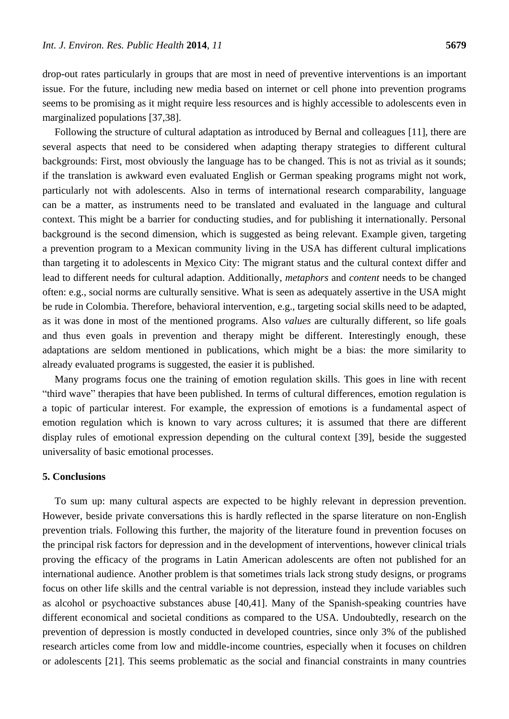drop-out rates particularly in groups that are most in need of preventive interventions is an important issue. For the future, including new media based on internet or cell phone into prevention programs seems to be promising as it might require less resources and is highly accessible to adolescents even in marginalized populations [37,38].

Following the structure of cultural adaptation as introduced by Bernal and colleagues [11], there are several aspects that need to be considered when adapting therapy strategies to different cultural backgrounds: First, most obviously the language has to be changed. This is not as trivial as it sounds; if the translation is awkward even evaluated English or German speaking programs might not work, particularly not with adolescents. Also in terms of international research comparability, language can be a matter, as instruments need to be translated and evaluated in the language and cultural context. This might be a barrier for conducting studies, and for publishing it internationally. Personal background is the second dimension, which is suggested as being relevant. Example given, targeting a prevention program to a Mexican community living in the USA has different cultural implications than targeting it to adolescents in Mexico City: The migrant status and the cultural context differ and lead to different needs for cultural adaption. Additionally, *metaphors* and *content* needs to be changed often: e.g., social norms are culturally sensitive. What is seen as adequately assertive in the USA might be rude in Colombia. Therefore, behavioral intervention, e.g., targeting social skills need to be adapted, as it was done in most of the mentioned programs. Also *values* are culturally different, so life goals and thus even goals in prevention and therapy might be different. Interestingly enough, these adaptations are seldom mentioned in publications, which might be a bias: the more similarity to already evaluated programs is suggested, the easier it is published.

Many programs focus one the training of emotion regulation skills. This goes in line with recent ―third wave‖ therapies that have been published. In terms of cultural differences, emotion regulation is a topic of particular interest. For example, the expression of emotions is a fundamental aspect of emotion regulation which is known to vary across cultures; it is assumed that there are different display rules of emotional expression depending on the cultural context [39], beside the suggested universality of basic emotional processes.

#### **5. Conclusions**

To sum up: many cultural aspects are expected to be highly relevant in depression prevention. However, beside private conversations this is hardly reflected in the sparse literature on non-English prevention trials. Following this further, the majority of the literature found in prevention focuses on the principal risk factors for depression and in the development of interventions, however clinical trials proving the efficacy of the programs in Latin American adolescents are often not published for an international audience. Another problem is that sometimes trials lack strong study designs, or programs focus on other life skills and the central variable is not depression, instead they include variables such as alcohol or psychoactive substances abuse [40,41]. Many of the Spanish-speaking countries have different economical and societal conditions as compared to the USA. Undoubtedly, research on the prevention of depression is mostly conducted in developed countries, since only 3% of the published research articles come from low and middle-income countries, especially when it focuses on children or adolescents [21]. This seems problematic as the social and financial constraints in many countries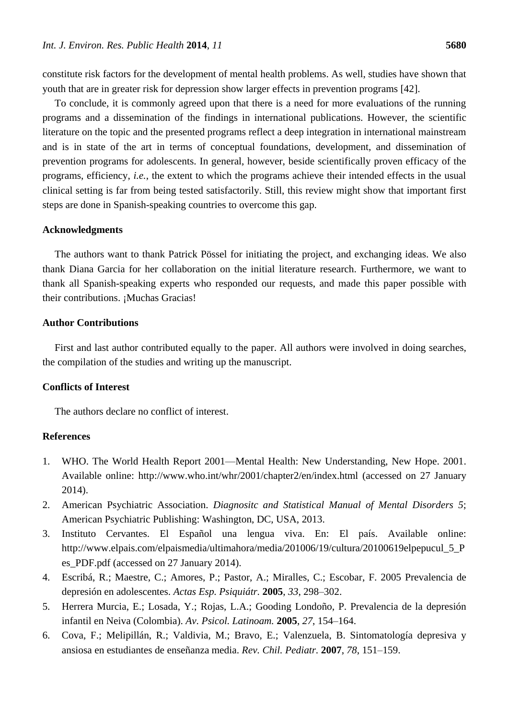constitute risk factors for the development of mental health problems. As well, studies have shown that youth that are in greater risk for depression show larger effects in prevention programs [42].

To conclude, it is commonly agreed upon that there is a need for more evaluations of the running programs and a dissemination of the findings in international publications. However, the scientific literature on the topic and the presented programs reflect a deep integration in international mainstream and is in state of the art in terms of conceptual foundations, development, and dissemination of prevention programs for adolescents. In general, however, beside scientifically proven efficacy of the programs, efficiency, *i.e.*, the extent to which the programs achieve their intended effects in the usual clinical setting is far from being tested satisfactorily. Still, this review might show that important first steps are done in Spanish-speaking countries to overcome this gap.

#### **Acknowledgments**

The authors want to thank Patrick Pössel for initiating the project, and exchanging ideas. We also thank Diana Garcia for her collaboration on the initial literature research. Furthermore, we want to thank all Spanish-speaking experts who responded our requests, and made this paper possible with their contributions. Muchas Gracias!

#### **Author Contributions**

First and last author contributed equally to the paper. All authors were involved in doing searches, the compilation of the studies and writing up the manuscript.

# **Conflicts of Interest**

The authors declare no conflict of interest.

## **References**

- 1. WHO. The World Health Report 2001—Mental Health: New Understanding, New Hope. 2001. Available online: http://www.who.int/whr/2001/chapter2/en/index.html (accessed on 27 January 2014).
- 2. American Psychiatric Association. *Diagnositc and Statistical Manual of Mental Disorders 5*; American Psychiatric Publishing: Washington, DC, USA, 2013.
- 3. Instituto Cervantes. El Español una lengua viva. En: El país. Available online: http://www.elpais.com/elpaismedia/ultimahora/media/201006/19/cultura/20100619elpepucul\_5\_P es\_PDF.pdf (accessed on 27 January 2014).
- 4. Escribá, R.; Maestre, C.; Amores, P.; Pastor, A.; Miralles, C.; Escobar, F. 2005 Prevalencia de depresión en adolescentes. *Actas Esp. Psiquiátr.* **2005**, *33*, 298–302.
- 5. Herrera Murcia, E.; Losada, Y.; Rojas, L.A.; Gooding Londoño, P. Prevalencia de la depresión infantil en Neiva (Colombia). *Av. Psicol. Latinoam.* **2005**, *27*, 154–164.
- 6. Cova, F.; Melipillán, R.; Valdivia, M.; Bravo, E.; Valenzuela, B. Sintomatología depresiva y ansiosa en estudiantes de enseñanza media. *Rev. Chil. Pediatr.* **2007**, *78*, 151–159.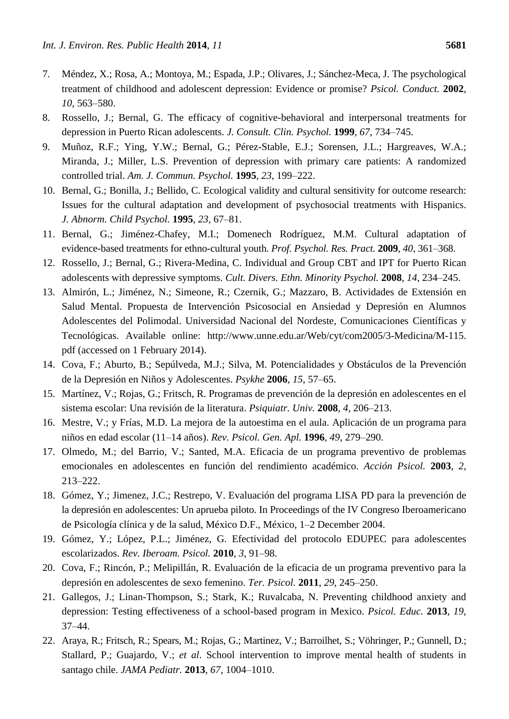- 7. Méndez, X.; Rosa, A.; Montoya, M.; Espada, J.P.; Olivares, J.; Sánchez-Meca, J. The psychological treatment of childhood and adolescent depression: Evidence or promise? *Psicol. Conduct.* **2002**, *10*, 563–580.
- 8. Rossello, J.; Bernal, G. The efficacy of cognitive-behavioral and interpersonal treatments for depression in Puerto Rican adolescents. *J. Consult. Clin. Psychol.* **1999**, *67*, 734–745.
- 9. Muñoz, R.F.; Ying, Y.W.; Bernal, G.; Pérez-Stable, E.J.; Sorensen, J.L.; Hargreaves, W.A.; Miranda, J.; Miller, L.S. Prevention of depression with primary care patients: A randomized controlled trial. *Am. J. Commun. Psychol.* **1995**, *23*, 199–222.
- 10. Bernal, G.; Bonilla, J.; Bellido, C. Ecological validity and cultural sensitivity for outcome research: Issues for the cultural adaptation and development of psychosocial treatments with Hispanics. *J. Abnorm. Child Psychol.* **1995**, *23*, 67–81.
- 11. Bernal, G.; Jiménez-Chafey, M.I.; Domenech Rodréguez, M.M. Cultural adaptation of evidence-based treatments for ethno-cultural youth. *Prof. Psychol. Res. Pract.* **2009**, *40*, 361–368.
- 12. Rossello, J.; Bernal, G.; Rivera-Medina, C. Individual and Group CBT and IPT for Puerto Rican adolescents with depressive symptoms. *Cult. Divers. Ethn. Minority Psychol.* **2008**, *14*, 234–245.
- 13. Almirón, L.; Jiménez, N.; Simeone, R.; Czernik, G.; Mazzaro, B. Actividades de Extensión en Salud Mental. Propuesta de Intervención Psicosocial en Ansiedad y Depresión en Alumnos Adolescentes del Polimodal. Universidad Nacional del Nordeste, Comunicaciones Científicas y Tecnológicas. Available online: http://www.unne.edu.ar/Web/cyt/com2005/3-Medicina/M-115. pdf (accessed on 1 February 2014).
- 14. Cova, F.; Aburto, B.; Sepúlveda, M.J.; Silva, M. Potencialidades y Obstáculos de la Prevención de la Depresión en Niños y Adolescentes. *Psykhe* **2006**, *15*, 57–65.
- 15. Martínez, V.; Rojas, G.; Fritsch, R. Programas de prevención de la depresión en adolescentes en el sistema escolar: Una revisión de la literatura. *Psiquiatr. Univ.* **2008**, *4*, 206–213.
- 16. Mestre, V.; y Frías, M.D. La mejora de la autoestima en el aula. Aplicación de un programa para niños en edad escolar (11–14 años). *Rev. Psicol. Gen. Apl.* **1996**, *49*, 279–290.
- 17. Olmedo, M.; del Barrio, V.; Santed, M.A. Eficacia de un programa preventivo de problemas emocionales en adolescentes en función del rendimiento académico. *Acción Psicol.* **2003**, *2*, 213–222.
- 18. Gómez, Y.; Jimenez, J.C.; Restrepo, V. Evaluación del programa LISA PD para la prevención de la depresión en adolescentes: Un aprueba piloto. In Proceedings of the IV Congreso Iberoamericano de Psicología clínica y de la salud, México D.F., México, 1–2 December 2004.
- 19. Gómez, Y.; López, P.L.; Jiménez, G. Efectividad del protocolo EDUPEC para adolescentes escolarizados. *Rev. Iberoam. Psicol.* **2010**, *3*, 91–98.
- 20. Cova, F.; Rincón, P.; Melipillán, R. Evaluación de la eficacia de un programa preventivo para la depresión en adolescentes de sexo femenino. *Ter. Psicol.* **2011**, *29*, 245–250.
- 21. Gallegos, J.; Linan-Thompson, S.; Stark, K.; Ruvalcaba, N. Preventing childhood anxiety and depression: Testing effectiveness of a school-based program in Mexico. *Psicol. Educ.* **2013**, *19*, 37–44.
- 22. Araya, R.; Fritsch, R.; Spears, M.; Rojas, G.; Martinez, V.; Barroilhet, S.; Vöhringer, P.; Gunnell, D.; Stallard, P.; Guajardo, V.; *et al*. School intervention to improve mental health of students in santago chile. *JAMA Pediatr.* **2013**, *67*, 1004–1010.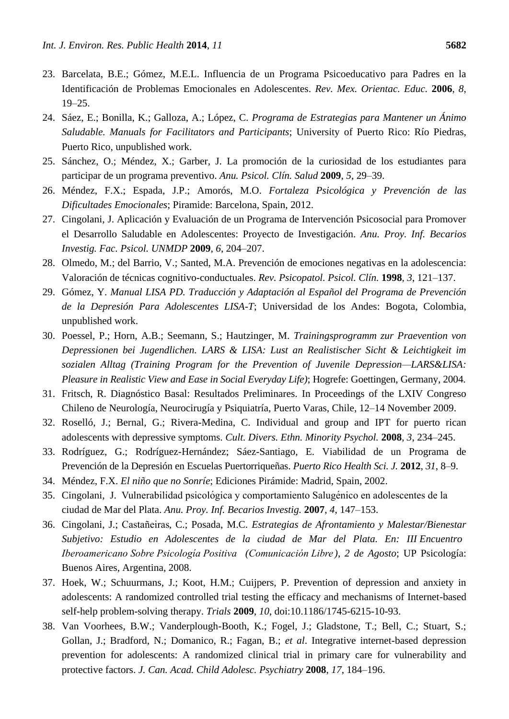- 23. Barcelata, B.E.; Gómez, M.E.L. Influencia de un Programa Psicoeducativo para Padres en la Identificación de Problemas Emocionales en Adolescentes. *Rev. Mex. Orientac. Educ.* **2006**, *8*, 19–25.
- 24. Sáez, E.; Bonilla, K.; Galloza, A.; López, C. *Programa de Estrategias para Mantener un Ánimo Saludable. Manuals for Facilitators and Participants*; University of Puerto Rico: Río Piedras, Puerto Rico, unpublished work.
- 25. Sánchez, O.; Méndez, X.; Garber, J. La promoción de la curiosidad de los estudiantes para participar de un programa preventivo. *Anu. Psicol. Clín. Salud* **2009**, *5*, 29–39.
- 26. Méndez, F.X.; Espada, J.P.; Amorós, M.O. *Fortaleza Psicológica y Prevención de las Dificultades Emocionales*; Piramide: Barcelona, Spain, 2012.
- 27. Cingolani, J. Aplicación y Evaluación de un Programa de Intervención Psicosocial para Promover el Desarrollo Saludable en Adolescentes: Proyecto de Investigación. *Anu. Proy. Inf. Becarios Investig. Fac. Psicol. UNMDP* **2009**, *6*, 204–207.
- 28. Olmedo, M.; del Barrio, V.; Santed, M.A. Prevención de emociones negativas en la adolescencia: Valoración de técnicas cognitivo-conductuales. *Rev. Psicopatol. Psicol. Clín.* **1998**, *3*, 121–137.
- 29. Gómez, Y. *Manual LISA PD. Traducción y Adaptación al Español del Programa de Prevención de la Depresión Para Adolescentes LISA-T*; Universidad de los Andes: Bogota, Colombia, unpublished work.
- 30. Poessel, P.; Horn, A.B.; Seemann, S.; Hautzinger, M. *Trainingsprogramm zur Praevention von Depressionen bei Jugendlichen. LARS & LISA: Lust an Realistischer Sicht & Leichtigkeit im sozialen Alltag (Training Program for the Prevention of Juvenile Depression—LARS&LISA: Pleasure in Realistic View and Ease in Social Everyday Life)*; Hogrefe: Goettingen, Germany, 2004.
- 31. Fritsch, R. Diagnóstico Basal: Resultados Preliminares. In Proceedings of the LXIV Congreso Chileno de Neurolog á, Neurocirug á y Psiquiatr á, Puerto Varas, Chile, 12-14 November 2009.
- 32. Roselló, J.; Bernal, G.; Rivera-Medina, C. Individual and group and IPT for puerto rican adolescents with depressive symptoms. *Cult. Divers. Ethn. Minority Psychol.* **2008**, *3*, 234–245.
- 33. Rodríguez, G.; Rodríguez-Hernández; Sáez-Santiago, E. Viabilidad de un Programa de Prevención de la Depresión en Escuelas Puertorriqueñas. *Puerto Rico Health Sci. J.* **2012**, *31*, 8–9.
- 34. Méndez, F.X. *El niño que no Sonríe*; Ediciones Pirámide: Madrid, Spain, 2002.
- 35. Cingolani, J. Vulnerabilidad psicológica y comportamiento Salugénico en adolescentes de la ciudad de Mar del Plata. *Anu. Proy. Inf. Becarios Investig.* **2007**, *4*, 147–153.
- 36. Cingolani, J.; Castañeiras, C.; Posada, M.C. *Estrategias de Afrontamiento y Malestar/Bienestar Subjetivo: Estudio en Adolescentes de la ciudad de Mar del Plata. En: III Encuentro Iberoamericano Sobre Psicología Positiva (Comunicación Libre ), 2 de Agosto*; UP Psicología: Buenos Aires, Argentina, 2008.
- 37. Hoek, W.; Schuurmans, J.; Koot, H.M.; Cuijpers, P. Prevention of depression and anxiety in adolescents: A randomized controlled trial testing the efficacy and mechanisms of Internet-based self-help problem-solving therapy. *Trials* **2009**, *10*, doi:10.1186/1745-6215-10-93.
- 38. Van Voorhees, B.W.; Vanderplough-Booth, K.; Fogel, J.; Gladstone, T.; Bell, C.; Stuart, S.; Gollan, J.; Bradford, N.; Domanico, R.; Fagan, B.; *et al*. Integrative internet-based depression prevention for adolescents: A randomized clinical trial in primary care for vulnerability and protective factors. *J. Can. Acad. Child Adolesc. Psychiatry* **2008**, *17*, 184–196.